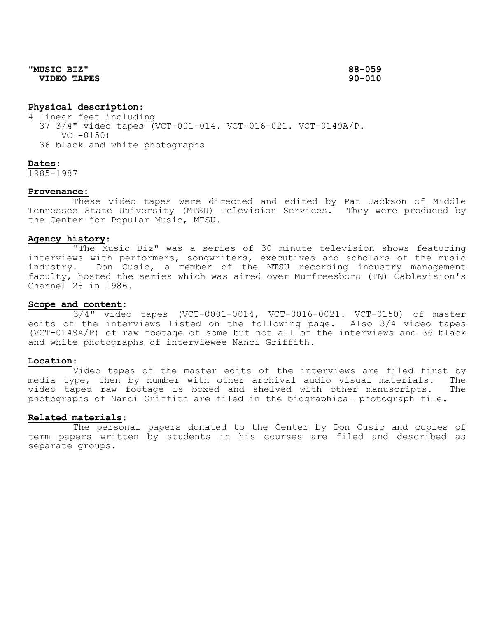**"MUSIC BIZ" 88-059 VIDEO TAPES 90-010**

## **Physical description**:

4 linear feet including 37 3/4" video tapes (VCT-001-014. VCT-016-021. VCT-0149A/P. VCT-0150) 36 black and white photographs

#### **Dates**:

1985-1987

## **Provenance:**

These video tapes were directed and edited by Pat Jackson of Middle Tennessee State University (MTSU) Television Services. They were produced by the Center for Popular Music, MTSU.

# **Agency history**:

"The Music Biz" was a series of 30 minute television shows featuring interviews with performers, songwriters, executives and scholars of the music industry. Don Cusic, a member of the MTSU recording industry management faculty, hosted the series which was aired over Murfreesboro (TN) Cablevision's Channel 28 in 1986.

### **Scope and content**:

3/4" video tapes (VCT-0001-0014, VCT-0016-0021. VCT-0150) of master edits of the interviews listed on the following page. Also 3/4 video tapes (VCT-0149A/P) of raw footage of some but not all of the interviews and 36 black and white photographs of interviewee Nanci Griffith.

#### **Location**:

Video tapes of the master edits of the interviews are filed first by media type, then by number with other archival audio visual materials. The<br>video taped raw footage is boxed and shelved with other manuscripts. The video taped raw footage is boxed and shelved with other manuscripts. photographs of Nanci Griffith are filed in the biographical photograph file.

### **Related materials**:

The personal papers donated to the Center by Don Cusic and copies of term papers written by students in his courses are filed and described as separate groups.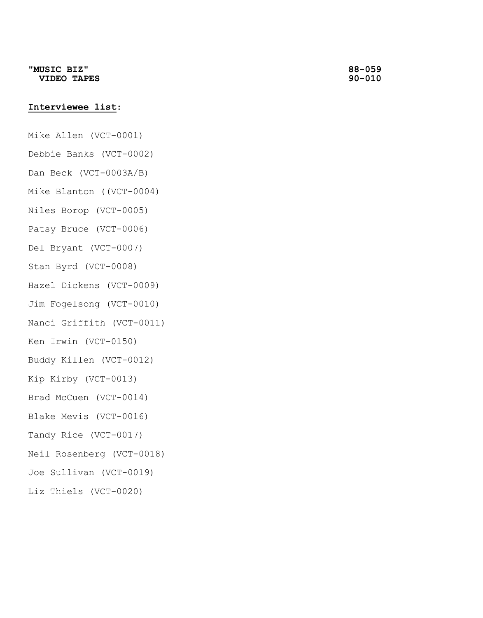# **Interviewee list**:

Mike Allen (VCT-0001)

- Debbie Banks (VCT-0002)
- Dan Beck (VCT-0003A/B)
- Mike Blanton ((VCT-0004)
- Niles Borop (VCT-0005)
- Patsy Bruce (VCT-0006)
- Del Bryant (VCT-0007)
- Stan Byrd (VCT-0008)
- Hazel Dickens (VCT-0009)
- Jim Fogelsong (VCT-0010)
- Nanci Griffith (VCT-0011)
- Ken Irwin (VCT-0150)
- Buddy Killen (VCT-0012)
- Kip Kirby (VCT-0013)
- Brad McCuen (VCT-0014)
- Blake Mevis (VCT-0016)
- Tandy Rice (VCT-0017)
- Neil Rosenberg (VCT-0018)
- Joe Sullivan (VCT-0019)
- Liz Thiels (VCT-0020)